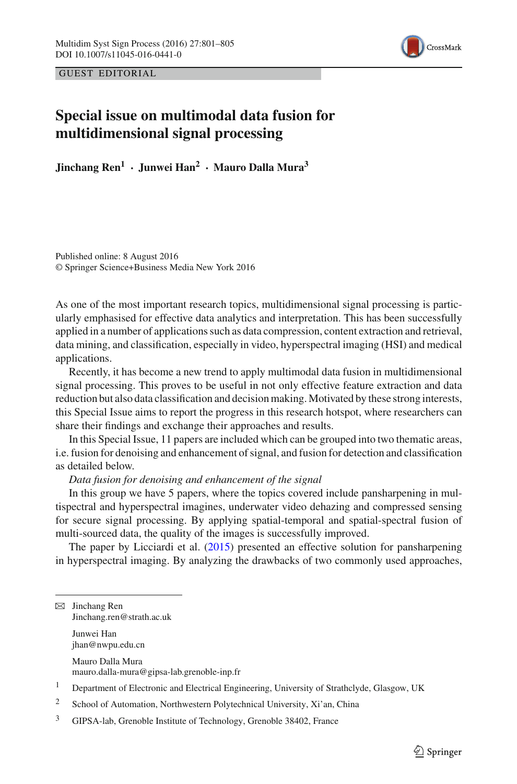



## **Special issue on multimodal data fusion for multidimensional signal processing**

**Jinchang Ren<sup>1</sup> · Junwei Han<sup>2</sup> · Mauro Dalla Mura<sup>3</sup>**

Published online: 8 August 2016 © Springer Science+Business Media New York 2016

As one of the most important research topics, multidimensional signal processing is particularly emphasised for effective data analytics and interpretation. This has been successfully applied in a number of applications such as data compression, content extraction and retrieval, data mining, and classification, especially in video, hyperspectral imaging (HSI) and medical applications.

Recently, it has become a new trend to apply multimodal data fusion in multidimensional signal processing. This proves to be useful in not only effective feature extraction and data reduction but also data classification and decision making. Motivated by these strong interests, this Special Issue aims to report the progress in this research hotspot, where researchers can share their findings and exchange their approaches and results.

In this Special Issue, 11 papers are included which can be grouped into two thematic areas, i.e. fusion for denoising and enhancement of signal, and fusion for detection and classification as detailed below.

## *Data fusion for denoising and enhancement of the signal*

In this group we have 5 papers, where the topics covered include pansharpening in multispectral and hyperspectral imagines, underwater video dehazing and compressed sensing for secure signal processing. By applying spatial-temporal and spatial-spectral fusion of multi-sourced data, the quality of the images is successfully improved.

The paper by Licciardi et al. [\(2015\)](#page-3-0) presented an effective solution for pansharpening in hyperspectral imaging. By analyzing the drawbacks of two commonly used approaches,

 $\boxtimes$  Jinchang Ren Jinchang.ren@strath.ac.uk

> Junwei Han jhan@nwpu.edu.cn

Mauro Dalla Mura mauro.dalla-mura@gipsa-lab.grenoble-inp.fr

<sup>1</sup> Department of Electronic and Electrical Engineering, University of Strathclyde, Glasgow, UK

<sup>2</sup> School of Automation, Northwestern Polytechnical University, Xi'an, China

<sup>3</sup> GIPSA-lab, Grenoble Institute of Technology, Grenoble 38402, France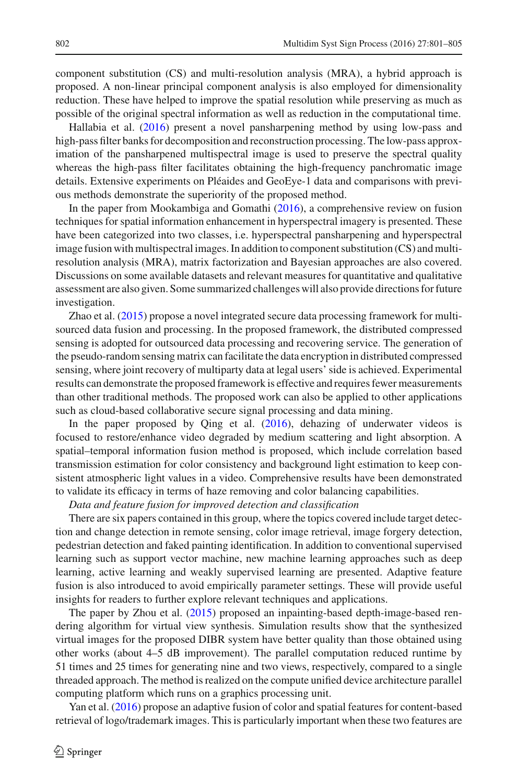component substitution (CS) and multi-resolution analysis (MRA), a hybrid approach is proposed. A non-linear principal component analysis is also employed for dimensionality reduction. These have helped to improve the spatial resolution while preserving as much as possible of the original spectral information as well as reduction in the computational time.

Hallabia et al. [\(2016\)](#page-2-0) present a novel pansharpening method by using low-pass and high-pass filter banks for decomposition and reconstruction processing. The low-pass approximation of the pansharpened multispectral image is used to preserve the spectral quality whereas the high-pass filter facilitates obtaining the high-frequency panchromatic image details. Extensive experiments on Pléaides and GeoEye-1 data and comparisons with previous methods demonstrate the superiority of the proposed method.

In the paper from Mookambiga and Gomathi [\(2016\)](#page-3-1), a comprehensive review on fusion techniques for spatial information enhancement in hyperspectral imagery is presented. These have been categorized into two classes, i.e. hyperspectral pansharpening and hyperspectral image fusion with multispectral images. In addition to component substitution (CS) and multiresolution analysis (MRA), matrix factorization and Bayesian approaches are also covered. Discussions on some available datasets and relevant measures for quantitative and qualitative assessment are also given. Some summarized challenges will also provide directions for future investigation.

Zhao et al. [\(2015\)](#page-3-2) propose a novel integrated secure data processing framework for multisourced data fusion and processing. In the proposed framework, the distributed compressed sensing is adopted for outsourced data processing and recovering service. The generation of the pseudo-random sensing matrix can facilitate the data encryption in distributed compressed sensing, where joint recovery of multiparty data at legal users' side is achieved. Experimental results can demonstrate the proposed framework is effective and requires fewer measurements than other traditional methods. The proposed work can also be applied to other applications such as cloud-based collaborative secure signal processing and data mining.

In the paper proposed by Qing et al. [\(2016](#page-3-3)), dehazing of underwater videos is focused to restore/enhance video degraded by medium scattering and light absorption. A spatial–temporal information fusion method is proposed, which include correlation based transmission estimation for color consistency and background light estimation to keep consistent atmospheric light values in a video. Comprehensive results have been demonstrated to validate its efficacy in terms of haze removing and color balancing capabilities.

*Data and feature fusion for improved detection and classification*

There are six papers contained in this group, where the topics covered include target detection and change detection in remote sensing, color image retrieval, image forgery detection, pedestrian detection and faked painting identification. In addition to conventional supervised learning such as support vector machine, new machine learning approaches such as deep learning, active learning and weakly supervised learning are presented. Adaptive feature fusion is also introduced to avoid empirically parameter settings. These will provide useful insights for readers to further explore relevant techniques and applications.

The paper by Zhou et al. [\(2015](#page-3-4)) proposed an inpainting-based depth-image-based rendering algorithm for virtual view synthesis. Simulation results show that the synthesized virtual images for the proposed DIBR system have better quality than those obtained using other works (about 4–5 dB improvement). The parallel computation reduced runtime by 51 times and 25 times for generating nine and two views, respectively, compared to a single threaded approach. The method is realized on the compute unified device architecture parallel computing platform which runs on a graphics processing unit.

Yan et al. [\(2016\)](#page-3-5) propose an adaptive fusion of color and spatial features for content-based retrieval of logo/trademark images. This is particularly important when these two features are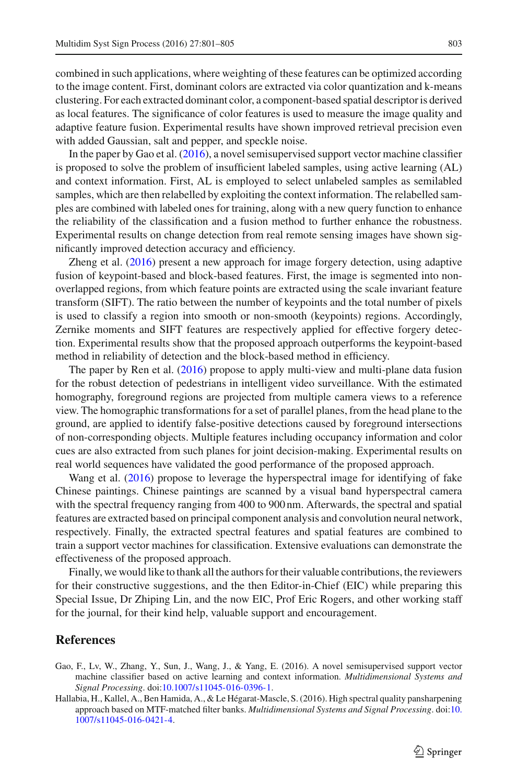combined in such applications, where weighting of these features can be optimized according to the image content. First, dominant colors are extracted via color quantization and k-means clustering. For each extracted dominant color, a component-based spatial descriptor is derived as local features. The significance of color features is used to measure the image quality and adaptive feature fusion. Experimental results have shown improved retrieval precision even with added Gaussian, salt and pepper, and speckle noise.

In the paper by Gao et al. [\(2016](#page-2-1)), a novel semisupervised support vector machine classifier is proposed to solve the problem of insufficient labeled samples, using active learning (AL) and context information. First, AL is employed to select unlabeled samples as semilabled samples, which are then relabelled by exploiting the context information. The relabelled samples are combined with labeled ones for training, along with a new query function to enhance the reliability of the classification and a fusion method to further enhance the robustness. Experimental results on change detection from real remote sensing images have shown significantly improved detection accuracy and efficiency.

Zheng et al. [\(2016](#page-3-6)) present a new approach for image forgery detection, using adaptive fusion of keypoint-based and block-based features. First, the image is segmented into nonoverlapped regions, from which feature points are extracted using the scale invariant feature transform (SIFT). The ratio between the number of keypoints and the total number of pixels is used to classify a region into smooth or non-smooth (keypoints) regions. Accordingly, Zernike moments and SIFT features are respectively applied for effective forgery detection. Experimental results show that the proposed approach outperforms the keypoint-based method in reliability of detection and the block-based method in efficiency.

The paper by Ren et al. [\(2016\)](#page-3-7) propose to apply multi-view and multi-plane data fusion for the robust detection of pedestrians in intelligent video surveillance. With the estimated homography, foreground regions are projected from multiple camera views to a reference view. The homographic transformations for a set of parallel planes, from the head plane to the ground, are applied to identify false-positive detections caused by foreground intersections of non-corresponding objects. Multiple features including occupancy information and color cues are also extracted from such planes for joint decision-making. Experimental results on real world sequences have validated the good performance of the proposed approach.

Wang et al. [\(2016\)](#page-3-8) propose to leverage the hyperspectral image for identifying of fake Chinese paintings. Chinese paintings are scanned by a visual band hyperspectral camera with the spectral frequency ranging from 400 to 900 nm. Afterwards, the spectral and spatial features are extracted based on principal component analysis and convolution neural network, respectively. Finally, the extracted spectral features and spatial features are combined to train a support vector machines for classification. Extensive evaluations can demonstrate the effectiveness of the proposed approach.

Finally, we would like to thank all the authors for their valuable contributions, the reviewers for their constructive suggestions, and the then Editor-in-Chief (EIC) while preparing this Special Issue, Dr Zhiping Lin, and the now EIC, Prof Eric Rogers, and other working staff for the journal, for their kind help, valuable support and encouragement.

## **References**

- <span id="page-2-1"></span>Gao, F., Lv, W., Zhang, Y., Sun, J., Wang, J., & Yang, E. (2016). A novel semisupervised support vector machine classifier based on active learning and context information. *Multidimensional Systems and Signal Processing*. doi[:10.1007/s11045-016-0396-1.](http://dx.doi.org/10.1007/s11045-016-0396-1)
- <span id="page-2-0"></span>Hallabia, H., Kallel, A., Ben Hamida, A., & Le Hégarat-Mascle, S. (2016). High spectral quality pansharpening approach based on MTF-matched filter banks. *Multidimensional Systems and Signal Processing*. doi[:10.](http://dx.doi.org/10.1007/s11045-016-0421-4) [1007/s11045-016-0421-4.](http://dx.doi.org/10.1007/s11045-016-0421-4)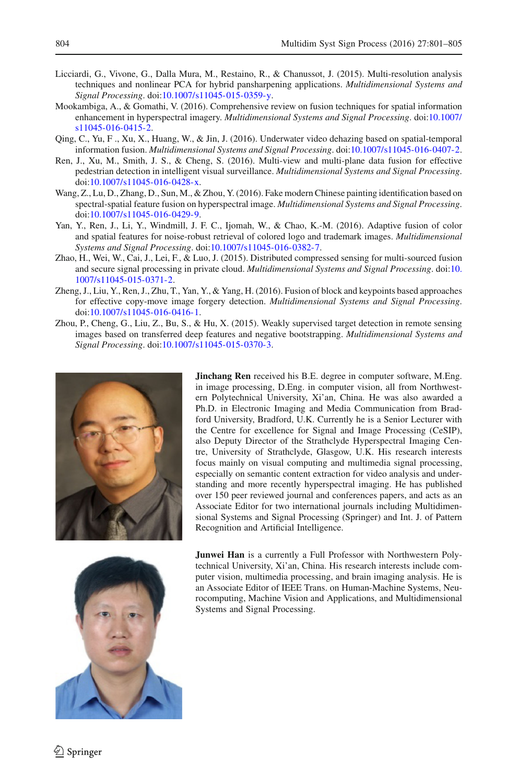- <span id="page-3-0"></span>Licciardi, G., Vivone, G., Dalla Mura, M., Restaino, R., & Chanussot, J. (2015). Multi-resolution analysis techniques and nonlinear PCA for hybrid pansharpening applications. *Multidimensional Systems and Signal Processing*. doi[:10.1007/s11045-015-0359-y.](http://dx.doi.org/10.1007/s11045-015-0359-y)
- <span id="page-3-1"></span>Mookambiga, A., & Gomathi, V. (2016). Comprehensive review on fusion techniques for spatial information enhancement in hyperspectral imagery. *Multidimensional Systems and Signal Processing*. doi[:10.1007/](http://dx.doi.org/10.1007/s11045-016-0415-2) [s11045-016-0415-2.](http://dx.doi.org/10.1007/s11045-016-0415-2)
- <span id="page-3-3"></span>Qing, C., Yu, F ., Xu, X., Huang, W., & Jin, J. (2016). Underwater video dehazing based on spatial-temporal information fusion. *Multidimensional Systems and Signal Processing*. doi[:10.1007/s11045-016-0407-2.](http://dx.doi.org/10.1007/s11045-016-0407-2)
- <span id="page-3-7"></span>Ren, J., Xu, M., Smith, J. S., & Cheng, S. (2016). Multi-view and multi-plane data fusion for effective pedestrian detection in intelligent visual surveillance. *Multidimensional Systems and Signal Processing*. doi[:10.1007/s11045-016-0428-x.](http://dx.doi.org/10.1007/s11045-016-0428-x)
- <span id="page-3-8"></span>Wang, Z., Lu, D., Zhang, D., Sun, M., & Zhou, Y. (2016). Fake modern Chinese painting identification based on spectral-spatial feature fusion on hyperspectral image. *Multidimensional Systems and Signal Processing*. doi[:10.1007/s11045-016-0429-9.](http://dx.doi.org/10.1007/s11045-016-0429-9)
- <span id="page-3-5"></span>Yan, Y., Ren, J., Li, Y., Windmill, J. F. C., Ijomah, W., & Chao, K.-M. (2016). Adaptive fusion of color and spatial features for noise-robust retrieval of colored logo and trademark images. *Multidimensional Systems and Signal Processing*. doi[:10.1007/s11045-016-0382-7.](http://dx.doi.org/10.1007/s11045-016-0382-7)
- <span id="page-3-2"></span>Zhao, H., Wei, W., Cai, J., Lei, F., & Luo, J. (2015). Distributed compressed sensing for multi-sourced fusion and secure signal processing in private cloud. *Multidimensional Systems and Signal Processing*. doi[:10.](http://dx.doi.org/10.1007/s11045-015-0371-2) [1007/s11045-015-0371-2.](http://dx.doi.org/10.1007/s11045-015-0371-2)
- <span id="page-3-6"></span>Zheng, J., Liu, Y., Ren, J., Zhu, T., Yan, Y., & Yang, H. (2016). Fusion of block and keypoints based approaches for effective copy-move image forgery detection. *Multidimensional Systems and Signal Processing*. doi[:10.1007/s11045-016-0416-1.](http://dx.doi.org/10.1007/s11045-016-0416-1)
- <span id="page-3-4"></span>Zhou, P., Cheng, G., Liu, Z., Bu, S., & Hu, X. (2015). Weakly supervised target detection in remote sensing images based on transferred deep features and negative bootstrapping. *Multidimensional Systems and Signal Processing*. doi[:10.1007/s11045-015-0370-3.](http://dx.doi.org/10.1007/s11045-015-0370-3)



**Jinchang Ren** received his B.E. degree in computer software, M.Eng. in image processing, D.Eng. in computer vision, all from Northwestern Polytechnical University, Xi'an, China. He was also awarded a Ph.D. in Electronic Imaging and Media Communication from Bradford University, Bradford, U.K. Currently he is a Senior Lecturer with the Centre for excellence for Signal and Image Processing (CeSIP), also Deputy Director of the Strathclyde Hyperspectral Imaging Centre, University of Strathclyde, Glasgow, U.K. His research interests focus mainly on visual computing and multimedia signal processing, especially on semantic content extraction for video analysis and understanding and more recently hyperspectral imaging. He has published over 150 peer reviewed journal and conferences papers, and acts as an Associate Editor for two international journals including Multidimensional Systems and Signal Processing (Springer) and Int. J. of Pattern Recognition and Artificial Intelligence.



**Junwei Han** is a currently a Full Professor with Northwestern Polytechnical University, Xi'an, China. His research interests include computer vision, multimedia processing, and brain imaging analysis. He is an Associate Editor of IEEE Trans. on Human-Machine Systems, Neurocomputing, Machine Vision and Applications, and Multidimensional Systems and Signal Processing.